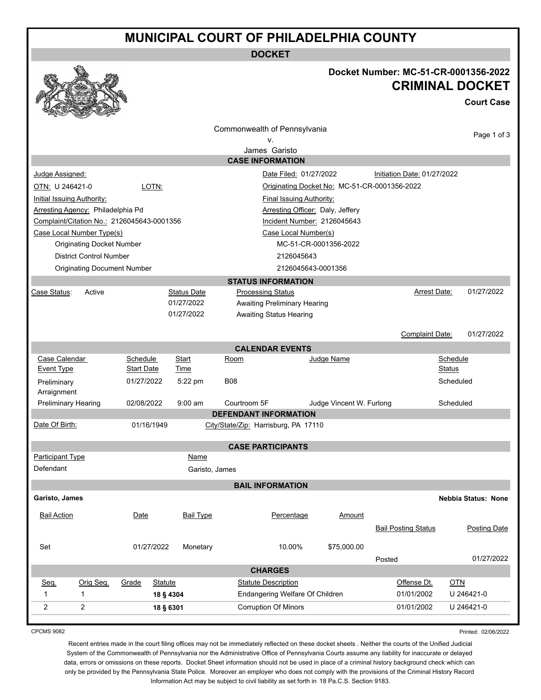## **MUNICIPAL COURT OF PHILADELPHIA COUNTY**

**DOCKET**



### **Docket Number: MC-51-CR-0001356-2022 CRIMINAL DOCKET**

**Court Case**

| Commonwealth of Pennsylvania                             |                                            |                                    |                       |                                          |                                                                |                              |                             |                            |     |                            |
|----------------------------------------------------------|--------------------------------------------|------------------------------------|-----------------------|------------------------------------------|----------------------------------------------------------------|------------------------------|-----------------------------|----------------------------|-----|----------------------------|
| ٧.                                                       |                                            |                                    |                       |                                          |                                                                |                              | Page 1 of 3                 |                            |     |                            |
| James Garisto                                            |                                            |                                    |                       |                                          |                                                                |                              |                             |                            |     |                            |
| <b>CASE INFORMATION</b>                                  |                                            |                                    |                       |                                          |                                                                |                              |                             |                            |     |                            |
| Judge Assigned:                                          |                                            |                                    |                       |                                          | Date Filed: 01/27/2022                                         |                              | Initiation Date: 01/27/2022 |                            |     |                            |
| OTN: U 246421-0<br>LOTN:                                 |                                            |                                    |                       |                                          | Originating Docket No: MC-51-CR-0001356-2022                   |                              |                             |                            |     |                            |
| <b>Initial Issuing Authority:</b>                        |                                            |                                    |                       |                                          | <b>Final Issuing Authority:</b>                                |                              |                             |                            |     |                            |
|                                                          | Arresting Agency: Philadelphia Pd          |                                    |                       |                                          | Arresting Officer: Daly, Jeffery                               |                              |                             |                            |     |                            |
|                                                          | Complaint/Citation No.: 2126045643-0001356 |                                    |                       |                                          | Incident Number: 2126045643                                    |                              |                             |                            |     |                            |
|                                                          | Case Local Number Type(s)                  |                                    |                       |                                          |                                                                | Case Local Number(s)         |                             |                            |     |                            |
|                                                          | <b>Originating Docket Number</b>           |                                    |                       |                                          |                                                                |                              | MC-51-CR-0001356-2022       |                            |     |                            |
|                                                          | <b>District Control Number</b>             |                                    |                       |                                          |                                                                | 2126045643                   |                             |                            |     |                            |
| <b>Originating Document Number</b><br>2126045643-0001356 |                                            |                                    |                       |                                          |                                                                |                              |                             |                            |     |                            |
|                                                          |                                            |                                    |                       |                                          |                                                                | <b>STATUS INFORMATION</b>    |                             |                            |     |                            |
| Case Status:                                             | Active                                     |                                    |                       | <b>Status Date</b>                       | <b>Processing Status</b>                                       |                              |                             | Arrest Date:               |     | 01/27/2022                 |
|                                                          |                                            |                                    |                       | 01/27/2022                               |                                                                | Awaiting Preliminary Hearing |                             |                            |     |                            |
| 01/27/2022<br><b>Awaiting Status Hearing</b>             |                                            |                                    |                       |                                          |                                                                |                              |                             |                            |     |                            |
|                                                          |                                            |                                    |                       |                                          |                                                                |                              |                             |                            |     |                            |
| <b>Complaint Date:</b><br>01/27/2022                     |                                            |                                    |                       |                                          |                                                                |                              |                             |                            |     |                            |
| Case Calendar                                            |                                            | Schedule                           |                       |                                          |                                                                | <b>CALENDAR EVENTS</b>       | Judge Name                  |                            |     |                            |
| Event Type                                               |                                            | <b>Start Date</b>                  |                       | Start<br>Time                            | Room                                                           |                              | Schedule<br>Status          |                            |     |                            |
| Preliminary                                              |                                            |                                    |                       |                                          | <b>B08</b>                                                     |                              |                             |                            |     |                            |
| Arraignment                                              |                                            | 01/27/2022<br>5:22 pm<br>Scheduled |                       |                                          |                                                                |                              |                             |                            |     |                            |
| <b>Preliminary Hearing</b><br>02/08/2022<br>$9:00$ am    |                                            |                                    |                       | Courtroom 5F<br>Judge Vincent W. Furlong |                                                                |                              | Scheduled                   |                            |     |                            |
|                                                          |                                            |                                    |                       |                                          | <b>DEFENDANT INFORMATION</b>                                   |                              |                             |                            |     |                            |
| Date Of Birth:                                           |                                            |                                    | 01/16/1949            |                                          | City/State/Zip: Harrisburg, PA 17110                           |                              |                             |                            |     |                            |
|                                                          |                                            |                                    |                       |                                          |                                                                | <b>CASE PARTICIPANTS</b>     |                             |                            |     |                            |
| Participant Type                                         |                                            |                                    |                       | Name                                     |                                                                |                              |                             |                            |     |                            |
| Defendant                                                |                                            |                                    |                       | Garisto, James                           |                                                                |                              |                             |                            |     |                            |
|                                                          |                                            |                                    |                       |                                          |                                                                | <b>BAIL INFORMATION</b>      |                             |                            |     |                            |
| Garisto, James                                           |                                            |                                    |                       |                                          |                                                                |                              |                             |                            |     | <b>Nebbia Status: None</b> |
|                                                          |                                            |                                    |                       |                                          |                                                                |                              |                             |                            |     |                            |
| <b>Bail Action</b>                                       |                                            | Date                               |                       | <b>Bail Type</b>                         |                                                                | Percentage                   | Amount                      |                            |     |                            |
|                                                          |                                            |                                    |                       |                                          |                                                                |                              |                             | <b>Bail Posting Status</b> |     | Posting Date               |
|                                                          |                                            |                                    |                       |                                          |                                                                |                              |                             |                            |     |                            |
| Set<br>01/27/2022                                        |                                            | Monetary                           | 10.00%<br>\$75,000.00 |                                          |                                                                |                              |                             | 01/27/2022                 |     |                            |
|                                                          |                                            |                                    |                       |                                          |                                                                | <b>CHARGES</b>               |                             | Posted                     |     |                            |
|                                                          | Orig Seq.                                  |                                    |                       |                                          |                                                                | <b>Statute Description</b>   |                             | Offense Dt.                | OTN |                            |
| Seq.<br>$\mathbf{1}$                                     | $\mathbf{1}$                               | Grade<br><b>Statute</b>            |                       |                                          |                                                                | 01/01/2002                   |                             | U 246421-0                 |     |                            |
|                                                          |                                            | 18 § 4304                          |                       |                                          | Endangering Welfare Of Children<br><b>Corruption Of Minors</b> |                              |                             |                            |     |                            |
| $\overline{c}$                                           | $\overline{2}$                             |                                    | 18 § 6301             |                                          |                                                                |                              |                             | 01/01/2002                 |     | U 246421-0                 |

CPCMS 9082

Printed: 02/06/2022

Recent entries made in the court filing offices may not be immediately reflected on these docket sheets . Neither the courts of the Unified Judicial System of the Commonwealth of Pennsylvania nor the Administrative Office of Pennsylvania Courts assume any liability for inaccurate or delayed data, errors or omissions on these reports. Docket Sheet information should not be used in place of a criminal history background check which can only be provided by the Pennsylvania State Police. Moreover an employer who does not comply with the provisions of the Criminal History Record Information Act may be subject to civil liability as set forth in 18 Pa.C.S. Section 9183.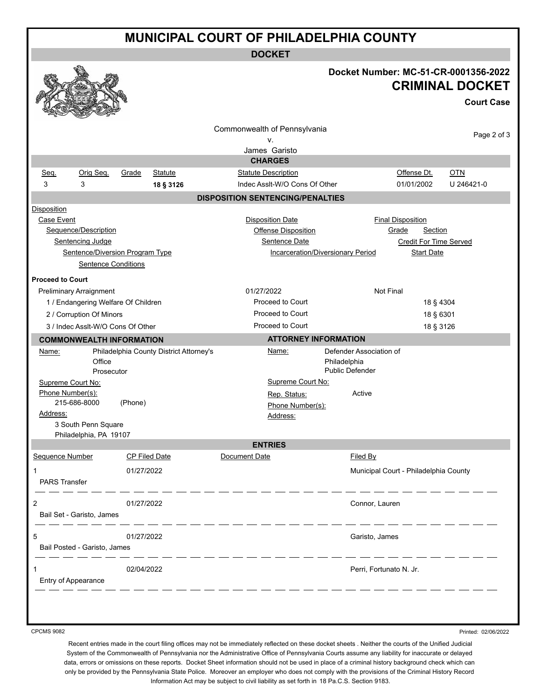## **MUNICIPAL COURT OF PHILADELPHIA COUNTY**

**DOCKET**

|                          |                                                                                                                                                                                                                                                                                                                                                                                                                                                                                                            |                                         |                                         | Docket Number: MC-51-CR-0001356-2022  | <b>CRIMINAL DOCKET</b><br><b>Court Case</b> |  |  |
|--------------------------|------------------------------------------------------------------------------------------------------------------------------------------------------------------------------------------------------------------------------------------------------------------------------------------------------------------------------------------------------------------------------------------------------------------------------------------------------------------------------------------------------------|-----------------------------------------|-----------------------------------------|---------------------------------------|---------------------------------------------|--|--|
|                          |                                                                                                                                                                                                                                                                                                                                                                                                                                                                                                            |                                         | Commonwealth of Pennsylvania            |                                       | Page 2 of 3                                 |  |  |
|                          |                                                                                                                                                                                                                                                                                                                                                                                                                                                                                                            |                                         | ν.                                      |                                       |                                             |  |  |
|                          |                                                                                                                                                                                                                                                                                                                                                                                                                                                                                                            |                                         | James Garisto<br><b>CHARGES</b>         |                                       |                                             |  |  |
| Seq.                     | Orig Seq.                                                                                                                                                                                                                                                                                                                                                                                                                                                                                                  | Grade<br>Statute                        | <b>Statute Description</b>              | Offense Dt.                           | <b>OTN</b>                                  |  |  |
| 3                        | 3                                                                                                                                                                                                                                                                                                                                                                                                                                                                                                          | 18 § 3126                               | Indec Assit-W/O Cons Of Other           | 01/01/2002                            | U 246421-0                                  |  |  |
|                          |                                                                                                                                                                                                                                                                                                                                                                                                                                                                                                            |                                         | <b>DISPOSITION SENTENCING/PENALTIES</b> |                                       |                                             |  |  |
| <b>Disposition</b>       |                                                                                                                                                                                                                                                                                                                                                                                                                                                                                                            |                                         |                                         |                                       |                                             |  |  |
| Case Event               |                                                                                                                                                                                                                                                                                                                                                                                                                                                                                                            |                                         | <b>Disposition Date</b>                 | <b>Final Disposition</b>              |                                             |  |  |
|                          | Sequence/Description                                                                                                                                                                                                                                                                                                                                                                                                                                                                                       |                                         | Offense Disposition                     | Grade<br>Section                      |                                             |  |  |
|                          | Sentencing Judge                                                                                                                                                                                                                                                                                                                                                                                                                                                                                           |                                         | Sentence Date                           |                                       | <b>Credit For Time Served</b>               |  |  |
|                          |                                                                                                                                                                                                                                                                                                                                                                                                                                                                                                            | Sentence/Diversion Program Type         | Incarceration/Diversionary Period       |                                       | <b>Start Date</b>                           |  |  |
|                          | <b>Sentence Conditions</b>                                                                                                                                                                                                                                                                                                                                                                                                                                                                                 |                                         |                                         |                                       |                                             |  |  |
| <b>Proceed to Court</b>  |                                                                                                                                                                                                                                                                                                                                                                                                                                                                                                            |                                         |                                         |                                       |                                             |  |  |
|                          | <b>Preliminary Arraignment</b>                                                                                                                                                                                                                                                                                                                                                                                                                                                                             |                                         | 01/27/2022                              | <b>Not Final</b>                      |                                             |  |  |
|                          |                                                                                                                                                                                                                                                                                                                                                                                                                                                                                                            | 1 / Endangering Welfare Of Children     | <b>Proceed to Court</b>                 |                                       | 18 § 4304                                   |  |  |
|                          | 2 / Corruption Of Minors                                                                                                                                                                                                                                                                                                                                                                                                                                                                                   |                                         | <b>Proceed to Court</b>                 | 18 § 6301                             |                                             |  |  |
|                          | 3 / Indec Assit-W/O Cons Of Other                                                                                                                                                                                                                                                                                                                                                                                                                                                                          |                                         | Proceed to Court                        | 18 § 3126                             |                                             |  |  |
|                          |                                                                                                                                                                                                                                                                                                                                                                                                                                                                                                            | <b>COMMONWEALTH INFORMATION</b>         | <b>ATTORNEY INFORMATION</b>             |                                       |                                             |  |  |
| Name:                    |                                                                                                                                                                                                                                                                                                                                                                                                                                                                                                            | Philadelphia County District Attorney's | Name:                                   | Defender Association of               |                                             |  |  |
|                          | Office                                                                                                                                                                                                                                                                                                                                                                                                                                                                                                     |                                         |                                         | Philadelphia                          |                                             |  |  |
|                          | Prosecutor                                                                                                                                                                                                                                                                                                                                                                                                                                                                                                 |                                         |                                         | <b>Public Defender</b>                |                                             |  |  |
| Supreme Court No:        |                                                                                                                                                                                                                                                                                                                                                                                                                                                                                                            |                                         | Supreme Court No:                       |                                       |                                             |  |  |
| Phone Number(s):         |                                                                                                                                                                                                                                                                                                                                                                                                                                                                                                            |                                         | Rep. Status:                            | Active                                |                                             |  |  |
|                          | 215-686-8000                                                                                                                                                                                                                                                                                                                                                                                                                                                                                               | (Phone)                                 | Phone Number(s):                        |                                       |                                             |  |  |
| Address:                 | 3 South Penn Square                                                                                                                                                                                                                                                                                                                                                                                                                                                                                        |                                         | Address:                                |                                       |                                             |  |  |
|                          | Philadelphia, PA 19107                                                                                                                                                                                                                                                                                                                                                                                                                                                                                     |                                         |                                         |                                       |                                             |  |  |
|                          |                                                                                                                                                                                                                                                                                                                                                                                                                                                                                                            |                                         | <b>ENTRIES</b>                          |                                       |                                             |  |  |
| Sequence Number          |                                                                                                                                                                                                                                                                                                                                                                                                                                                                                                            | <b>CP Filed Date</b>                    | Document Date                           | Filed By                              |                                             |  |  |
| -1                       |                                                                                                                                                                                                                                                                                                                                                                                                                                                                                                            | 01/27/2022                              |                                         | Municipal Court - Philadelphia County |                                             |  |  |
| <b>PARS Transfer</b>     |                                                                                                                                                                                                                                                                                                                                                                                                                                                                                                            |                                         |                                         |                                       |                                             |  |  |
|                          |                                                                                                                                                                                                                                                                                                                                                                                                                                                                                                            |                                         |                                         |                                       |                                             |  |  |
| 2                        |                                                                                                                                                                                                                                                                                                                                                                                                                                                                                                            | 01/27/2022                              |                                         | Connor, Lauren                        |                                             |  |  |
|                          | Bail Set - Garisto, James                                                                                                                                                                                                                                                                                                                                                                                                                                                                                  |                                         |                                         |                                       |                                             |  |  |
|                          | _ _ _ _ _ _                                                                                                                                                                                                                                                                                                                                                                                                                                                                                                |                                         | _ __ __ __ __ __ __ __                  | <u> — — — — — — — — </u>              |                                             |  |  |
| 5                        |                                                                                                                                                                                                                                                                                                                                                                                                                                                                                                            | 01/27/2022                              |                                         | Garisto, James                        |                                             |  |  |
|                          | Bail Posted - Garisto, James<br>$\frac{1}{2} \left( \frac{1}{2} \right) \left( \frac{1}{2} \right) \left( \frac{1}{2} \right) \left( \frac{1}{2} \right) \left( \frac{1}{2} \right) \left( \frac{1}{2} \right) \left( \frac{1}{2} \right) \left( \frac{1}{2} \right) \left( \frac{1}{2} \right) \left( \frac{1}{2} \right) \left( \frac{1}{2} \right) \left( \frac{1}{2} \right) \left( \frac{1}{2} \right) \left( \frac{1}{2} \right) \left( \frac{1}{2} \right) \left( \frac{1}{2} \right) \left( \frac$ |                                         |                                         |                                       |                                             |  |  |
|                          |                                                                                                                                                                                                                                                                                                                                                                                                                                                                                                            | 02/04/2022                              |                                         |                                       |                                             |  |  |
| 1<br>Entry of Appearance |                                                                                                                                                                                                                                                                                                                                                                                                                                                                                                            |                                         |                                         | Perri, Fortunato N. Jr.               |                                             |  |  |
|                          |                                                                                                                                                                                                                                                                                                                                                                                                                                                                                                            |                                         |                                         |                                       |                                             |  |  |
|                          |                                                                                                                                                                                                                                                                                                                                                                                                                                                                                                            |                                         |                                         |                                       |                                             |  |  |
|                          |                                                                                                                                                                                                                                                                                                                                                                                                                                                                                                            |                                         |                                         |                                       |                                             |  |  |

CPCMS 9082

Printed: 02/06/2022

Recent entries made in the court filing offices may not be immediately reflected on these docket sheets . Neither the courts of the Unified Judicial System of the Commonwealth of Pennsylvania nor the Administrative Office of Pennsylvania Courts assume any liability for inaccurate or delayed data, errors or omissions on these reports. Docket Sheet information should not be used in place of a criminal history background check which can only be provided by the Pennsylvania State Police. Moreover an employer who does not comply with the provisions of the Criminal History Record Information Act may be subject to civil liability as set forth in 18 Pa.C.S. Section 9183.